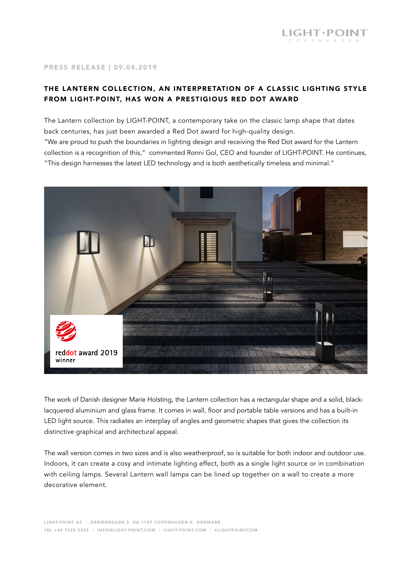## PRESS RELEASE | 09.04.2019

## THE LANTERN COLLECTION, AN INTERPRETATION OF A CLASSIC LIGHTING STYLE FROM LIGHT-POINT, HAS WON A PRESTIGIOUS RED DOT AWARD

The Lantern collection by LIGHT-POINT, a contemporary take on the classic lamp shape that dates back centuries, has just been awarded a Red Dot award for high-quality design. "We are proud to push the boundaries in lighting design and receiving the Red Dot award for the Lantern collection is a recognition of this," commented Ronni Gol, CEO and founder of LIGHT-POINT. He continues, "This design harnesses the latest LED technology and is both aesthetically timeless and minimal."



The work of Danish designer Marie Holsting, the Lantern collection has a rectangular shape and a solid, blacklacquered aluminium and glass frame. It comes in wall, floor and portable table versions and has a built-in LED light source. This radiates an interplay of angles and geometric shapes that gives the collection its distinctive graphical and architectural appeal.

The wall version comes in two sizes and is also weatherproof, so is suitable for both indoor and outdoor use. Indoors, it can create a cosy and intimate lighting effect, both as a single light source or in combination with ceiling lamps. Several Lantern wall lamps can be lined up together on a wall to create a more decorative element.